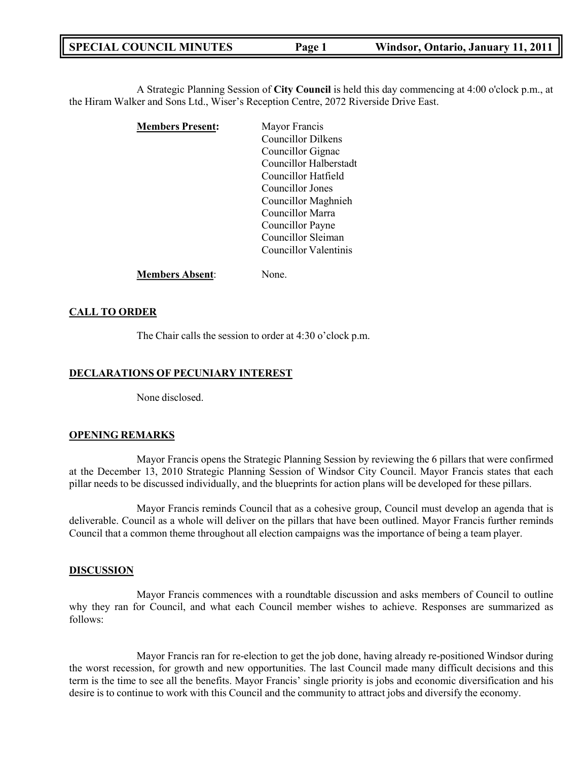**SPECIAL COUNCIL MINUTES Page 1 Windsor, Ontario, January 11, 2011**

A Strategic Planning Session of **City Council** is held this day commencing at 4:00 o'clock p.m., at the Hiram Walker and Sons Ltd., Wiser's Reception Centre, 2072 Riverside Drive East.

| <b>Members Present:</b> | Mayor Francis             |
|-------------------------|---------------------------|
|                         | <b>Councillor Dilkens</b> |
|                         | Councillor Gignac         |
|                         | Councillor Halberstadt    |
|                         | Councillor Hatfield       |
|                         | Councillor Jones          |
|                         | Councillor Maghnieh       |
|                         | Councillor Marra          |
|                         | Councillor Payne          |
|                         | Councillor Sleiman        |
|                         | Councillor Valentinis     |
|                         |                           |

**Members Absent**: None.

# **CALL TO ORDER**

The Chair calls the session to order at 4:30 o'clock p.m.

### **DECLARATIONS OF PECUNIARY INTEREST**

None disclosed.

### **OPENING REMARKS**

Mayor Francis opens the Strategic Planning Session by reviewing the 6 pillars that were confirmed at the December 13, 2010 Strategic Planning Session of Windsor City Council. Mayor Francis states that each pillar needs to be discussed individually, and the blueprints for action plans will be developed for these pillars.

Mayor Francis reminds Council that as a cohesive group, Council must develop an agenda that is deliverable. Council as a whole will deliver on the pillars that have been outlined. Mayor Francis further reminds Council that a common theme throughout all election campaigns was the importance of being a team player.

#### **DISCUSSION**

Mayor Francis commences with a roundtable discussion and asks members of Council to outline why they ran for Council, and what each Council member wishes to achieve. Responses are summarized as follows:

Mayor Francis ran for re-election to get the job done, having already re-positioned Windsor during the worst recession, for growth and new opportunities. The last Council made many difficult decisions and this term is the time to see all the benefits. Mayor Francis' single priority is jobs and economic diversification and his desire is to continue to work with this Council and the community to attract jobs and diversify the economy.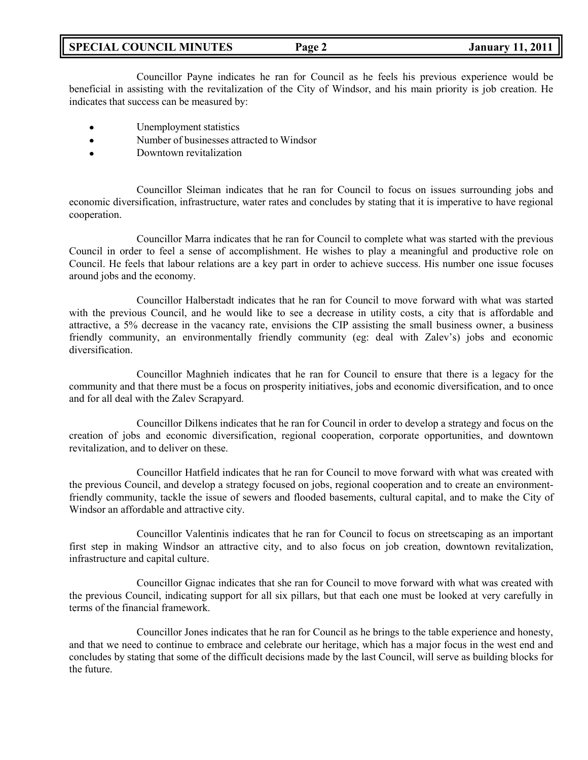# **SPECIAL COUNCIL MINUTES Page 2 January 11, 2011**

Councillor Payne indicates he ran for Council as he feels his previous experience would be beneficial in assisting with the revitalization of the City of Windsor, and his main priority is job creation. He indicates that success can be measured by:

- Unemployment statistics  $\bullet$
- Number of businesses attracted to Windsor  $\bullet$
- Downtown revitalization  $\bullet$

Councillor Sleiman indicates that he ran for Council to focus on issues surrounding jobs and economic diversification, infrastructure, water rates and concludes by stating that it is imperative to have regional cooperation.

Councillor Marra indicates that he ran for Council to complete what was started with the previous Council in order to feel a sense of accomplishment. He wishes to play a meaningful and productive role on Council. He feels that labour relations are a key part in order to achieve success. His number one issue focuses around jobs and the economy.

Councillor Halberstadt indicates that he ran for Council to move forward with what was started with the previous Council, and he would like to see a decrease in utility costs, a city that is affordable and attractive, a 5% decrease in the vacancy rate, envisions the CIP assisting the small business owner, a business friendly community, an environmentally friendly community (eg: deal with Zalev's) jobs and economic diversification.

Councillor Maghnieh indicates that he ran for Council to ensure that there is a legacy for the community and that there must be a focus on prosperity initiatives, jobs and economic diversification, and to once and for all deal with the Zalev Scrapyard.

Councillor Dilkens indicates that he ran for Council in order to develop a strategy and focus on the creation of jobs and economic diversification, regional cooperation, corporate opportunities, and downtown revitalization, and to deliver on these.

Councillor Hatfield indicates that he ran for Council to move forward with what was created with the previous Council, and develop a strategy focused on jobs, regional cooperation and to create an environmentfriendly community, tackle the issue of sewers and flooded basements, cultural capital, and to make the City of Windsor an affordable and attractive city.

Councillor Valentinis indicates that he ran for Council to focus on streetscaping as an important first step in making Windsor an attractive city, and to also focus on job creation, downtown revitalization, infrastructure and capital culture.

Councillor Gignac indicates that she ran for Council to move forward with what was created with the previous Council, indicating support for all six pillars, but that each one must be looked at very carefully in terms of the financial framework.

Councillor Jones indicates that he ran for Council as he brings to the table experience and honesty, and that we need to continue to embrace and celebrate our heritage, which has a major focus in the west end and concludes by stating that some of the difficult decisions made by the last Council, will serve as building blocks for the future.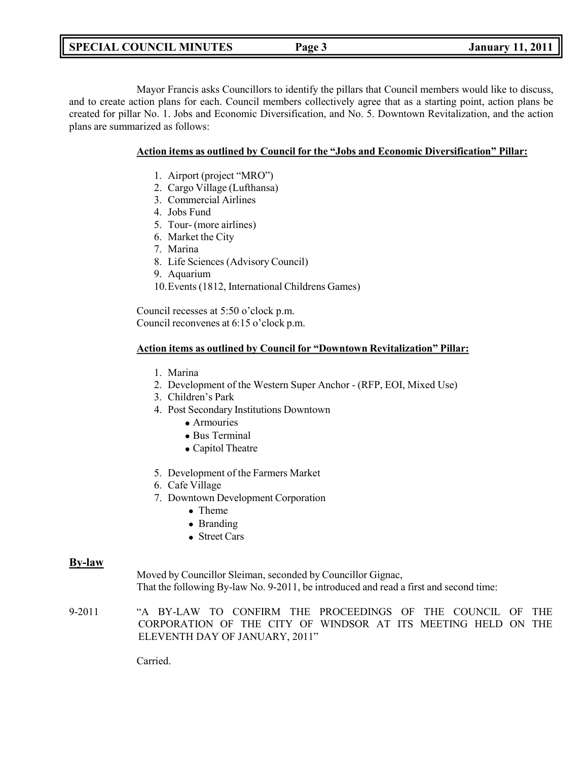**SPECIAL COUNCIL MINUTES Page 3 January 11, 2011**

Mayor Francis asks Councillors to identify the pillars that Council members would like to discuss, and to create action plans for each. Council members collectively agree that as a starting point, action plans be created for pillar No. 1. Jobs and Economic Diversification, and No. 5. Downtown Revitalization, and the action plans are summarized as follows:

# **Action items as outlined by Council for the "Jobs and Economic Diversification" Pillar:**

- 1. Airport (project "MRO")
- 2. Cargo Village (Lufthansa)
- 3. Commercial Airlines
- 4. Jobs Fund
- 5. Tour- (more airlines)
- 6. Market the City
- 7. Marina
- 8. Life Sciences (Advisory Council)
- 9. Aquarium
- 10.Events (1812, International Childrens Games)

Council recesses at 5:50 o'clock p.m. Council reconvenes at 6:15 o'clock p.m.

# **Action items as outlined by Council for "Downtown Revitalization" Pillar:**

- 1. Marina
- 2. Development of the Western Super Anchor (RFP, EOI, Mixed Use)
- 3. Children's Park
- 4. Post Secondary Institutions Downtown
	- Armouries
	- Bus Terminal
	- Capitol Theatre
- 5. Development of the Farmers Market
- 6. Cafe Village
- 7. Downtown Development Corporation
	- Theme
	- Branding
	- Street Cars

# **By-law**

Moved by Councillor Sleiman, seconded by Councillor Gignac, That the following By-law No. 9-2011, be introduced and read a first and second time:

9-2011 "A BY-LAW TO CONFIRM THE PROCEEDINGS OF THE COUNCIL OF THE CORPORATION OF THE CITY OF WINDSOR AT ITS MEETING HELD ON THE ELEVENTH DAY OF JANUARY, 2011"

Carried.